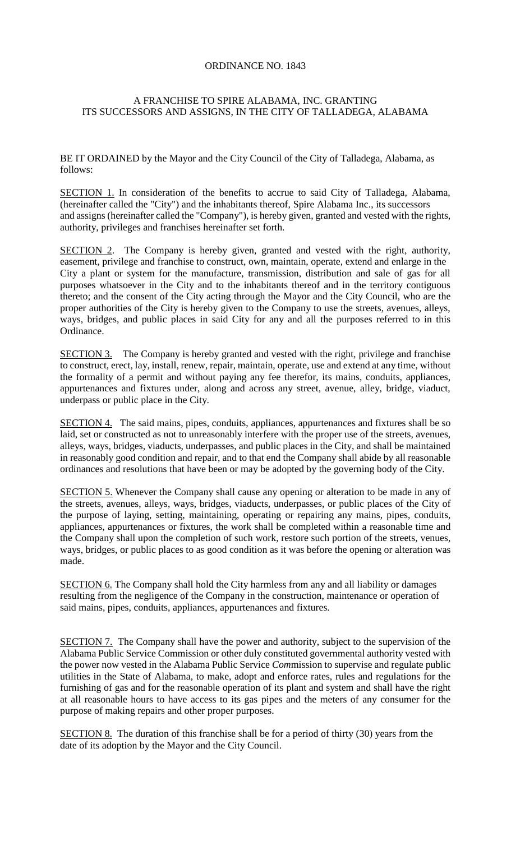## ORDINANCE NO. 1843

## A FRANCHISE TO SPIRE ALABAMA, INC. GRANTING ITS SUCCESSORS AND ASSIGNS, IN THE CITY OF TALLADEGA, ALABAMA

BE IT ORDAINED by the Mayor and the City Council of the City of Talladega, Alabama, as follows:

SECTION 1. In consideration of the benefits to accrue to said City of Talladega, Alabama, (hereinafter called the "City") and the inhabitants thereof, Spire Alabama Inc., its successors and assigns (hereinafter called the "Company"), is hereby given, granted and vested with the rights, authority, privileges and franchises hereinafter set forth.

SECTION 2. The Company is hereby given, granted and vested with the right, authority, easement, privilege and franchise to construct, own, maintain, operate, extend and enlarge in the City a plant or system for the manufacture, transmission, distribution and sale of gas for all purposes whatsoever in the City and to the inhabitants thereof and in the territory contiguous thereto; and the consent of the City acting through the Mayor and the City Council, who are the proper authorities of the City is hereby given to the Company to use the streets, avenues, alleys, ways, bridges, and public places in said City for any and all the purposes referred to in this Ordinance.

SECTION 3. The Company is hereby granted and vested with the right, privilege and franchise to construct, erect, lay, install, renew, repair, maintain, operate, use and extend at any time, without the formality of a permit and without paying any fee therefor, its mains, conduits, appliances, appurtenances and fixtures under, along and across any street, avenue, alley, bridge, viaduct, underpass or public place in the City.

SECTION 4. The said mains, pipes, conduits, appliances, appurtenances and fixtures shall be so laid, set or constructed as not to unreasonably interfere with the proper use of the streets, avenues, alleys, ways, bridges, viaducts, underpasses, and public places in the City, and shall be maintained in reasonably good condition and repair, and to that end the Company shall abide by all reasonable ordinances and resolutions that have been or may be adopted by the governing body of the City.

SECTION 5. Whenever the Company shall cause any opening or alteration to be made in any of the streets, avenues, alleys, ways, bridges, viaducts, underpasses, or public places of the City of the purpose of laying, setting, maintaining, operating or repairing any mains, pipes, conduits, appliances, appurtenances or fixtures, the work shall be completed within a reasonable time and the Company shall upon the completion of such work, restore such portion of the streets, venues, ways, bridges, or public places to as good condition as it was before the opening or alteration was made.

SECTION 6. The Company shall hold the City harmless from any and all liability or damages resulting from the negligence of the Company in the construction, maintenance or operation of said mains, pipes, conduits, appliances, appurtenances and fixtures.

SECTION 7.The Company shall have the power and authority, subject to the supervision of the Alabama Public Service Commission or other duly constituted governmental authority vested with the power now vested in the Alabama Public Service *Com*mission to supervise and regulate public utilities in the State of Alabama, to make, adopt and enforce rates, rules and regulations for the furnishing of gas and for the reasonable operation of its plant and system and shall have the right at all reasonable hours to have access to its gas pipes and the meters of any consumer for the purpose of making repairs and other proper purposes.

SECTION 8.The duration of this franchise shall be for a period of thirty (30) years from the date of its adoption by the Mayor and the City Council.